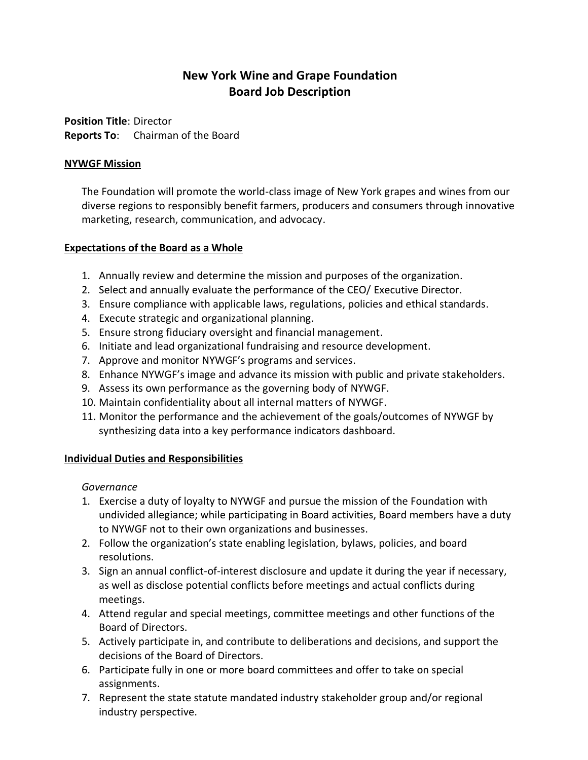# **New York Wine and Grape Foundation Board Job Description**

**Position Title**: Director **Reports To**: Chairman of the Board

# **NYWGF Mission**

The Foundation will promote the world-class image of New York grapes and wines from our diverse regions to responsibly benefit farmers, producers and consumers through innovative marketing, research, communication, and advocacy.

## **Expectations of the Board as a Whole**

- 1. Annually review and determine the mission and purposes of the organization.
- 2. Select and annually evaluate the performance of the CEO/ Executive Director.
- 3. Ensure compliance with applicable laws, regulations, policies and ethical standards.
- 4. Execute strategic and organizational planning.
- 5. Ensure strong fiduciary oversight and financial management.
- 6. Initiate and lead organizational fundraising and resource development.
- 7. Approve and monitor NYWGF's programs and services.
- 8. Enhance NYWGF's image and advance its mission with public and private stakeholders.
- 9. Assess its own performance as the governing body of NYWGF.
- 10. Maintain confidentiality about all internal matters of NYWGF.
- 11. Monitor the performance and the achievement of the goals/outcomes of NYWGF by synthesizing data into a key performance indicators dashboard.

#### **Individual Duties and Responsibilities**

#### *Governance*

- 1. Exercise a duty of loyalty to NYWGF and pursue the mission of the Foundation with undivided allegiance; while participating in Board activities, Board members have a duty to NYWGF not to their own organizations and businesses.
- 2. Follow the organization's state enabling legislation, bylaws, policies, and board resolutions.
- 3. Sign an annual conflict-of-interest disclosure and update it during the year if necessary, as well as disclose potential conflicts before meetings and actual conflicts during meetings.
- 4. Attend regular and special meetings, committee meetings and other functions of the Board of Directors.
- 5. Actively participate in, and contribute to deliberations and decisions, and support the decisions of the Board of Directors.
- 6. Participate fully in one or more board committees and offer to take on special assignments.
- 7. Represent the state statute mandated industry stakeholder group and/or regional industry perspective.